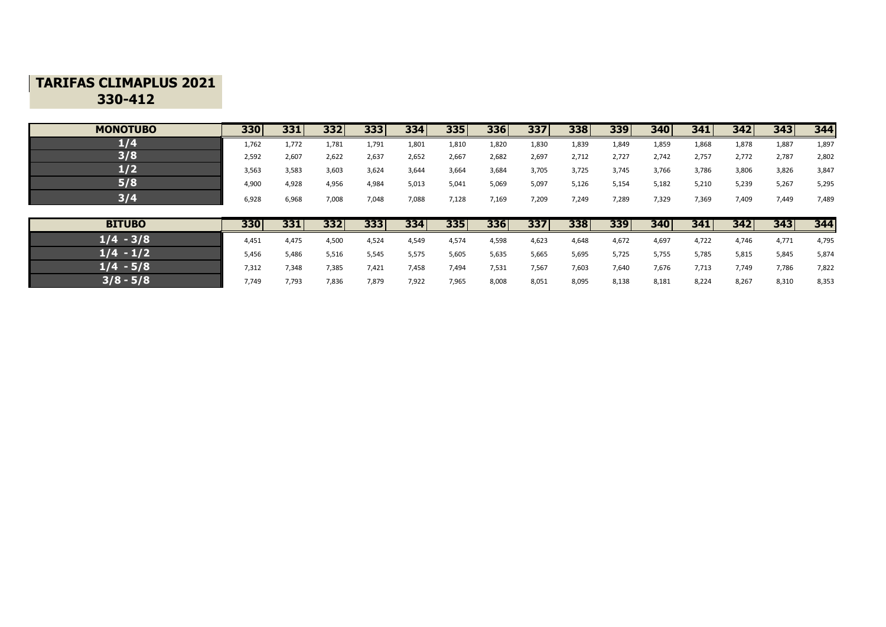## **TARIFAS CLIMAPLUS 2021 330-412**

| <b>MONOTUBO</b> | 330   | 331   | 332   | 333   | 334   | 335   | <b>336</b> | 337   | 338   | 339   | 340   | 341   | 342   | 343   | 344   |
|-----------------|-------|-------|-------|-------|-------|-------|------------|-------|-------|-------|-------|-------|-------|-------|-------|
| 1/4             | 1,762 | 1,772 | 1,781 | 1,791 | 1,801 | 1,810 | 1,820      | 1,830 | 1,839 | 1,849 | 1,859 | 1,868 | 1,878 | 1,887 | 1,897 |
| 3/8             | 2.592 | 2,607 | 2,622 | 2,637 | 2,652 | 2,667 | 2,682      | 2,697 | 2,712 | 2.727 | 2,742 | 2,757 | 2,772 | 2,787 | 2,802 |
| 1/2             | 3,563 | 3,583 | 3,603 | 3,624 | 3,644 | 3,664 | 3,684      | 3,705 | 3,725 | 3,745 | 3,766 | 3,786 | 3,806 | 3,826 | 3,847 |
| 5/8             | 4,900 | 4,928 | 4,956 | 4,984 | 5,013 | 5,041 | 5,069      | 5,097 | 5,126 | 5,154 | 5,182 | 5,210 | 5,239 | 5,267 | 5,295 |
| 374             | 6,928 | 6,968 | 7,008 | 7,048 | 7,088 | 7,128 | 7,169      | 7,209 | 7,249 | 7,289 | 7,329 | 7,369 | 7,409 | 7,449 | 7,489 |

| <b>BITUBO</b> | 330   | 331   | 332   | 333   | 334   | 335   | 336   | 337   | 338   | 339   | 340   | 341   | 342   | 343   | 344   |
|---------------|-------|-------|-------|-------|-------|-------|-------|-------|-------|-------|-------|-------|-------|-------|-------|
| $1/4 - 3/8$   | 4.451 | 4,475 | 4,500 | 4,524 | 4,549 | 4,574 | 4,598 | 4,623 | 4,648 | 4,672 | 4,697 | 4,722 | 4,746 | 4,771 | 4,795 |
| $1/4 - 1/2$   | 5,456 | 5,486 | 5,516 | 5,545 | 5,575 | 5,605 | 5,635 | 5,665 | 5,695 | 5,725 | 5,755 | 5,785 | 5,815 | 5,845 | 5,874 |
| $1/4 - 5/8$   | 7,312 | 7,348 | 7,385 | 7,421 | 7,458 | 7,494 | 7,531 | 7,567 | 7,603 | 7,640 | 7,676 | 7,713 | 7,749 | 7,786 | 7,822 |
| $3/8 - 5/8$   | 7,749 | 7,793 | 7,836 | 7,879 | 7,922 | 7,965 | 8,008 | 8,051 | 8,095 | 8,138 | 8,181 | 8,224 | 8,267 | 8,310 | 8,353 |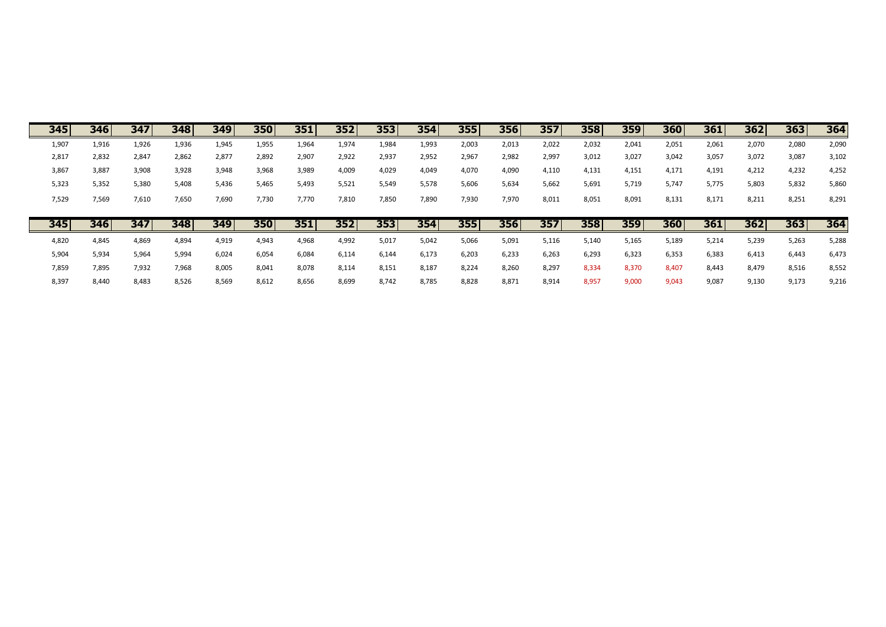| 345   | 346   | 347   | 348   | 349   | 350   | 351   | 352   | 353   | 354   | 355   | 356   | 357   | 358   | 359   | 360   | 361   | 362   | 363   | 364   |
|-------|-------|-------|-------|-------|-------|-------|-------|-------|-------|-------|-------|-------|-------|-------|-------|-------|-------|-------|-------|
| 1,907 | 1,916 | 1,926 | 1,936 | 1,945 | 1,955 | 1,964 | 1,974 | 1,984 | 1,993 | 2,003 | 2,013 | 2,022 | 2,032 | 2,041 | 2,051 | 2,061 | 2,070 | 2,080 | 2,090 |
| 2,817 | 2,832 | 2,847 | 2,862 | 2,877 | 2,892 | 2,907 | 2,922 | 2,937 | 2,952 | 2,967 | 2,982 | 2,997 | 3,012 | 3,027 | 3,042 | 3,057 | 3,072 | 3,087 | 3,102 |
| 3,867 | 3,887 | 3,908 | 3,928 | 3,948 | 3,968 | 3,989 | 4,009 | 4,029 | 4,049 | 4,070 | 4,090 | 4,110 | 4,131 | 4,151 | 4,171 | 4,191 | 4,212 | 4,232 | 4,252 |
| 5,323 | 5,352 | 5,380 | 5,408 | 5,436 | 5,465 | 5,493 | 5,521 | 5,549 | 5,578 | 5,606 | 5,634 | 5,662 | 5,691 | 5,719 | 5,747 | 5,775 | 5,803 | 5,832 | 5,860 |
| 7,529 | 7,569 | 7,610 | 7,650 | 7,690 | 7,730 | 7,770 | 7,810 | 7,850 | 7,890 | 7,930 | 7,970 | 8,011 | 8,051 | 8,091 | 8,131 | 8,171 | 8,211 | 8,251 | 8,291 |
|       |       |       |       |       |       |       |       |       |       |       |       |       |       |       |       |       |       |       |       |
|       |       |       |       |       |       |       |       |       |       |       |       |       |       |       |       |       |       |       |       |
| 345   | 346   | 347   | 348   | 349   | 350   | 351   | 352   | 353   | 354   | 355   | 356   | 357   | 358   | 359   | 360   | 361   | 362   | 363   | 364   |
| 4,820 | 4,845 | 4,869 | 4,894 | 4,919 | 4,943 | 4,968 | 4,992 | 5,017 | 5,042 | 5,066 | 5,091 | 5,116 | 5,140 | 5,165 | 5,189 | 5,214 | 5,239 | 5,263 | 5,288 |
| 5,904 | 5,934 | 5,964 | 5,994 | 6,024 | 6,054 | 6,084 | 6,114 | 6,144 | 6,173 | 6,203 | 6,233 | 6,263 | 6,293 | 6,323 | 6,353 | 6,383 | 6,413 | 6,443 | 6,473 |
| 7,859 | 7,895 | 7,932 | 7,968 | 8,005 | 8,041 | 8,078 | 8,114 | 8,151 | 8,187 | 8,224 | 8,260 | 8,297 | 8,334 | 8,370 | 8,407 | 8,443 | 8,479 | 8,516 | 8,552 |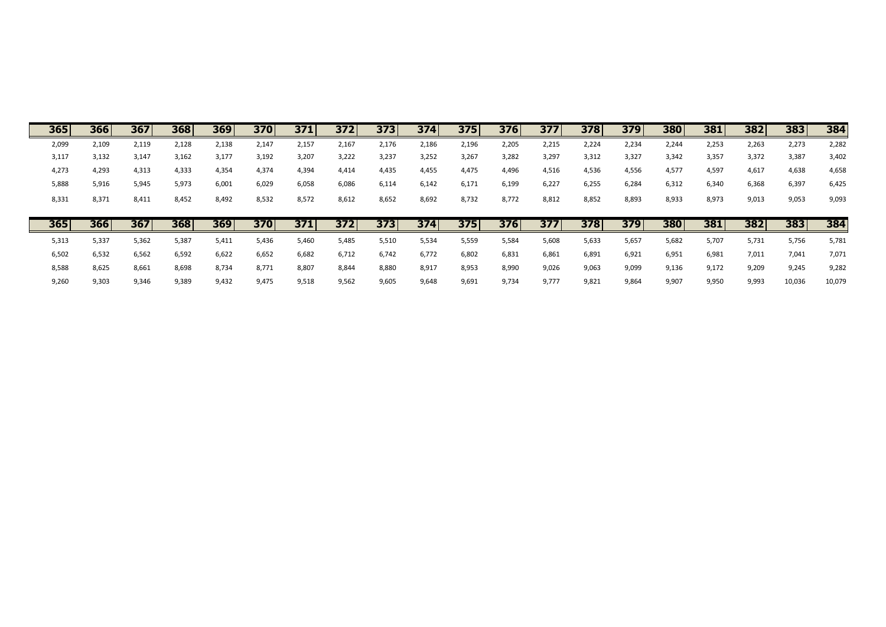| 365   | 366   | 367   | 3681  | 369   | 370   | 371   | 372   | 373   | 374   | 375   | 376   | 377   | 378   | 379   | 380   | 381   | 382   | 383   | 384   |
|-------|-------|-------|-------|-------|-------|-------|-------|-------|-------|-------|-------|-------|-------|-------|-------|-------|-------|-------|-------|
| 2,099 | 2,109 | 2,119 | 2,128 | 2,138 | 2,147 | 2,157 | 2,167 | 2,176 | 2,186 | 2,196 | 2,205 | 2,215 | 2,224 | 2,234 | 2,244 | 2,253 | 2,263 | 2,273 | 2,282 |
| 3,117 | 3,132 | 3,147 | 3,162 | 3,177 | 3,192 | 3,207 | 3,222 | 3,237 | 3,252 | 3,267 | 3,282 | 3,297 | 3,312 | 3,327 | 3,342 | 3,357 | 3,372 | 3,387 | 3,402 |
| 4,273 | 4,293 | 4,313 | 4,333 | 4,354 | 4,374 | 4,394 | 4,414 | 4,435 | 4,455 | 4,475 | 4,496 | 4,516 | 4,536 | 4,556 | 4,577 | 4,597 | 4,617 | 4,638 | 4,658 |
| 5,888 | 5,916 | 5,945 | 5,973 | 6,001 | 6,029 | 6,058 | 6,086 | 6,114 | 6,142 | 6,171 | 6,199 | 6,227 | 6,255 | 6,284 | 6,312 | 6,340 | 6,368 | 6,397 | 6,425 |
| 8,331 | 8,371 | 8,411 | 8,452 | 8,492 | 8,532 | 8,572 | 8,612 | 8,652 | 8,692 | 8,732 | 8,772 | 8,812 | 8,852 | 8,893 | 8,933 | 8,973 | 9,013 | 9,053 | 9,093 |
|       |       |       |       |       |       |       |       |       |       |       |       |       |       |       |       |       |       |       |       |
|       |       |       |       |       |       |       |       |       |       |       |       |       |       |       |       |       |       |       |       |
| 365   | 366   | 367   | 368   | 369   | 370   | 371   | 372   | 373   | 374   | 375   | 376   | 377   | 378   | 379   | 380   | 381   | 382   | 383   | 384   |
| 5,313 | 5,337 | 5,362 | 5,387 | 5,411 | 5,436 | 5,460 | 5,485 | 5,510 | 5,534 | 5,559 | 5,584 | 5,608 | 5,633 | 5,657 | 5,682 | 5,707 | 5,731 | 5,756 | 5,781 |
| 6,502 | 6,532 | 6,562 | 6,592 | 6,622 | 6,652 | 6,682 | 6,712 | 6,742 | 6,772 | 6,802 | 6,831 | 6,861 | 6,891 | 6,921 | 6,951 | 6,981 | 7,011 | 7,041 | 7,071 |
| 8,588 | 8,625 | 8,661 | 8,698 | 8,734 | 8,771 | 8,807 | 8,844 | 8,880 | 8,917 | 8,953 | 8,990 | 9,026 | 9,063 | 9,099 | 9,136 | 9,172 | 9,209 | 9,245 | 9,282 |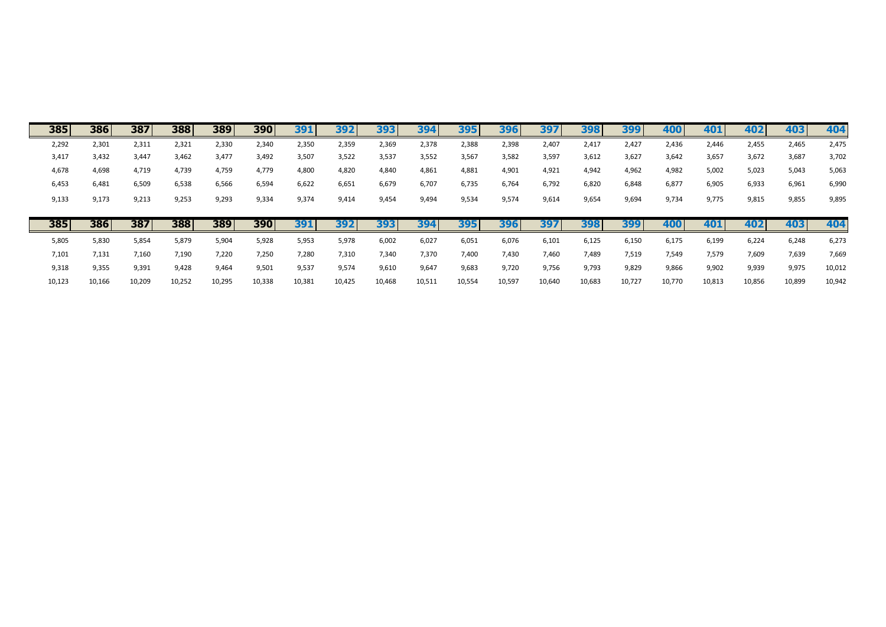| 385   | 386   | 387   | 388   | 389   | 390        | 391        | 392   | 393   | 394   | 395   | 396   | 397   | 398   | 399   | 400   | 401   | 402   | 403   | 404    |
|-------|-------|-------|-------|-------|------------|------------|-------|-------|-------|-------|-------|-------|-------|-------|-------|-------|-------|-------|--------|
| 2,292 | 2,301 | 2,311 | 2,321 | 2,330 | 2,340      | 2,350      | 2,359 | 2,369 | 2,378 | 2,388 | 2,398 | 2,407 | 2,417 | 2,427 | 2,436 | 2,446 | 2,455 | 2,465 | 2,475  |
| 3,417 | 3,432 | 3,447 | 3,462 | 3,477 | 3,492      | 3,507      | 3,522 | 3,537 | 3,552 | 3,567 | 3,582 | 3,597 | 3,612 | 3,627 | 3,642 | 3,657 | 3,672 | 3,687 | 3,702  |
| 4,678 | 4,698 | 4,719 | 4,739 | 4,759 | 4,779      | 4,800      | 4,820 | 4,840 | 4,861 | 4,881 | 4,901 | 4,921 | 4,942 | 4,962 | 4,982 | 5,002 | 5,023 | 5,043 | 5,063  |
| 6,453 | 6,481 | 6,509 | 6,538 | 6,566 | 6,594      | 6,622      | 6,651 | 6,679 | 6,707 | 6,735 | 6,764 | 6,792 | 6,820 | 6,848 | 6,877 | 6,905 | 6,933 | 6,961 | 6,990  |
| 9,133 | 9,173 | 9,213 | 9,253 | 9,293 | 9,334      | 9,374      | 9,414 | 9,454 | 9,494 | 9,534 | 9,574 | 9,614 | 9,654 | 9,694 | 9,734 | 9,775 | 9,815 | 9,855 | 9,895  |
|       |       |       |       |       |            |            |       |       |       |       |       |       |       |       |       |       |       |       |        |
|       |       |       |       |       |            |            |       |       |       |       |       |       |       |       |       |       |       |       |        |
| 385   | 386   | 387   | 388   | 389   | <b>390</b> | <b>391</b> | 392   | 393   | 394   | 395   | 396   | 397   | 398   | 399   | 400   | 401   | 402   | 403   | 404    |
| 5,805 | 5,830 | 5,854 | 5,879 | 5,904 | 5,928      | 5,953      | 5,978 | 6,002 | 6,027 | 6,051 | 6,076 | 6,101 | 6,125 | 6,150 | 6,175 | 6,199 | 6,224 | 6,248 | 6,273  |
| 7,101 | 7,131 | 7,160 | 7,190 | 7,220 | 7,250      | 7,280      | 7,310 | 7,340 | 7,370 | 7,400 | 7,430 | 7,460 | 7,489 | 7,519 | 7,549 | 7,579 | 7,609 | 7,639 | 7,669  |
| 9,318 | 9,355 | 9,391 | 9,428 | 9,464 | 9,501      | 9,537      | 9,574 | 9,610 | 9,647 | 9,683 | 9,720 | 9,756 | 9,793 | 9,829 | 9,866 | 9,902 | 9,939 | 9,975 | 10,012 |